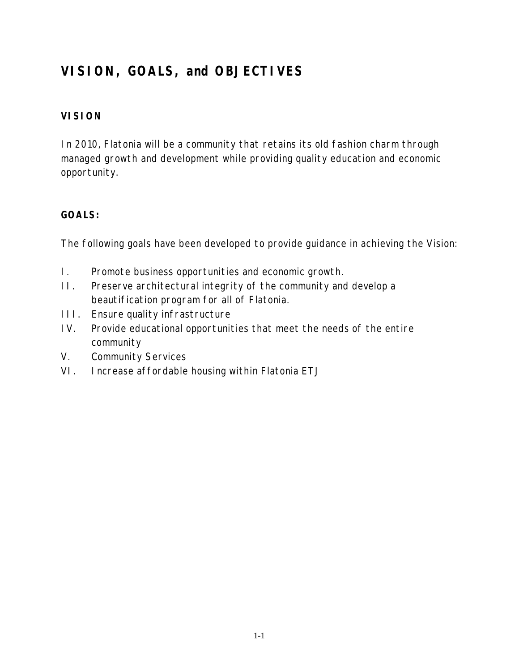# **VISION, GOALS, and OBJECTIVES**

# **VISION**

In 2010, Flatonia will be a community that retains its old fashion charm through managed growth and development while providing quality education and economic opportunity.

### **GOALS:**

The following goals have been developed to provide guidance in achieving the Vision:

- I. Promote business opportunities and economic growth.
- II. Preserve architectural integrity of the community and develop a beautification program for all of Flatonia.
- III. Ensure quality infrastructure
- IV. Provide educational opportunities that meet the needs of the entire community
- V. Community Services
- VI. Increase affordable housing within Flatonia ETJ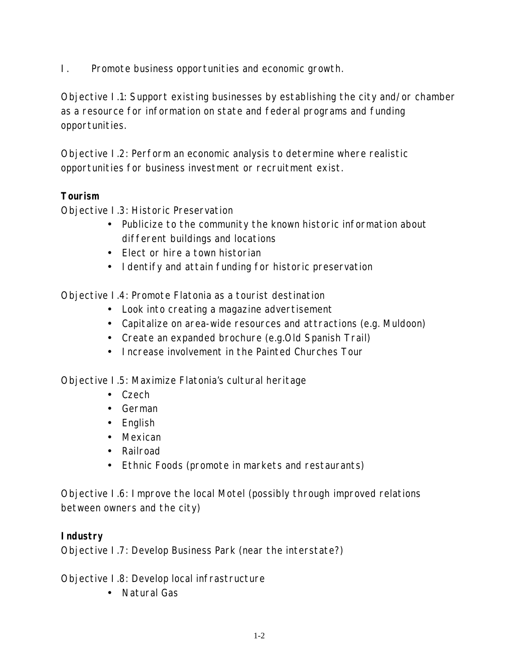I. Promote business opportunities and economic growth.

Objective I.1: Support existing businesses by establishing the city and/or chamber as a resource for information on state and federal programs and funding opportunities.

Objective I.2: Perform an economic analysis to determine where realistic opportunities for business investment or recruitment exist.

# **Tourism**

Objective I.3: Historic Preservation

- Publicize to the community the known historic information about different buildings and locations
- Elect or hire a town historian
- Identify and attain funding for historic preservation

Objective I.4: Promote Flatonia as a tourist destination

- Look into creating a magazine advertisement
- Capitalize on area-wide resources and attractions (e.g. Muldoon)
- Create an expanded brochure (e.g.Old Spanish Trail)
- Increase involvement in the Painted Churches Tour

Objective I.5: Maximize Flatonia's cultural heritage

- Czech
- German
- English
- Mexican
- Railroad
- Ethnic Foods (promote in markets and restaurants)

Objective I.6: Improve the local Motel (possibly through improved relations between owners and the city)

# **Industry**

Objective I.7: Develop Business Park (near the interstate?)

Objective I.8: Develop local infrastructure

• Natural Gas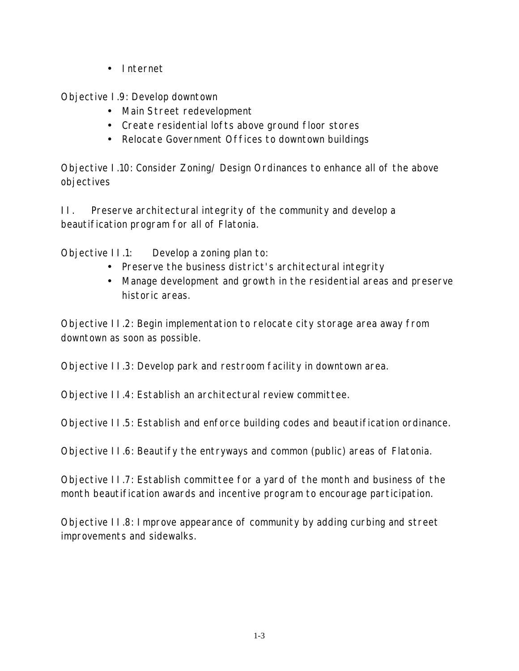• Internet

Objective I.9: Develop downtown

- Main Street redevelopment
- Create residential lofts above ground floor stores
- Relocate Government Offices to downtown buildings

Objective I.10: Consider Zoning/ Design Ordinances to enhance all of the above objectives

II. Preserve architectural integrity of the community and develop a beautification program for all of Flatonia.

Objective II.1: Develop a zoning plan to:

- Preserve the business district's architectural integrity
- Manage development and growth in the residential areas and preserve historic areas.

Objective II.2: Begin implementation to relocate city storage area away from downtown as soon as possible.

Objective II.3: Develop park and restroom facility in downtown area.

Objective II.4: Establish an architectural review committee.

Objective II.5: Establish and enforce building codes and beautification ordinance.

Objective II.6: Beautify the entryways and common (public) areas of Flatonia.

Objective II.7: Establish committee for a yard of the month and business of the month beautification awards and incentive program to encourage participation.

Objective II.8: Improve appearance of community by adding curbing and street improvements and sidewalks.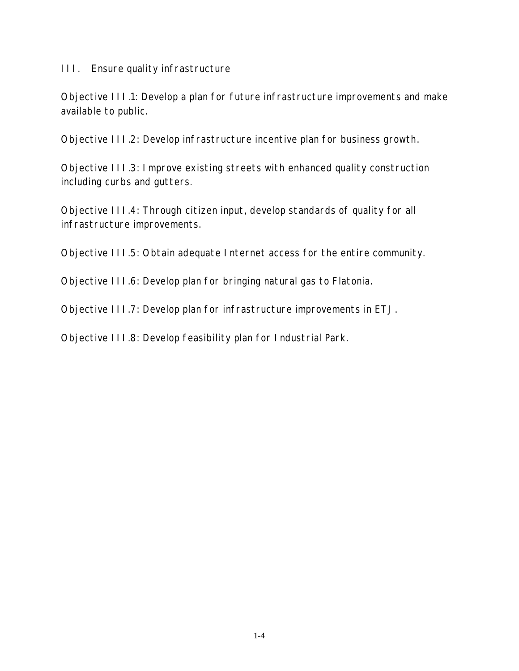#### III. Ensure quality infrastructure

Objective III.1: Develop a plan for future infrastructure improvements and make available to public.

Objective III.2: Develop infrastructure incentive plan for business growth.

Objective III.3: Improve existing streets with enhanced quality construction including curbs and gutters.

Objective III.4: Through citizen input, develop standards of quality for all infrastructure improvements.

Objective III.5: Obtain adequate Internet access for the entire community.

Objective III.6: Develop plan for bringing natural gas to Flatonia.

Objective III.7: Develop plan for infrastructure improvements in ETJ.

Objective III.8: Develop feasibility plan for Industrial Park.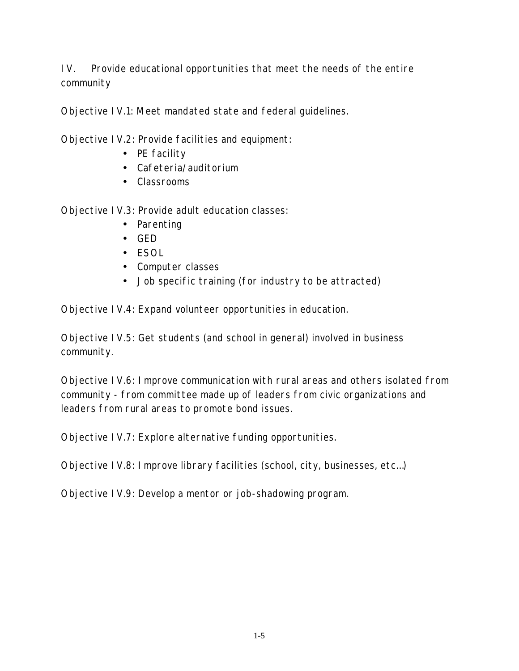IV. Provide educational opportunities that meet the needs of the entire community

Objective IV.1: Meet mandated state and federal guidelines.

Objective IV.2: Provide facilities and equipment:

- PE facility
- Cafeteria/auditorium
- Classrooms

Objective IV.3: Provide adult education classes:

- Parenting
- GED
- ESOL
- Computer classes
- Job specific training (for industry to be attracted)

Objective IV.4: Expand volunteer opportunities in education.

Objective IV.5: Get students (and school in general) involved in business community.

Objective IV.6: Improve communication with rural areas and others isolated from community - from committee made up of leaders from civic organizations and leaders from rural areas to promote bond issues.

Objective IV.7: Explore alternative funding opportunities.

Objective IV.8: Improve library facilities (school, city, businesses, etc…)

Objective IV.9: Develop a mentor or job-shadowing program.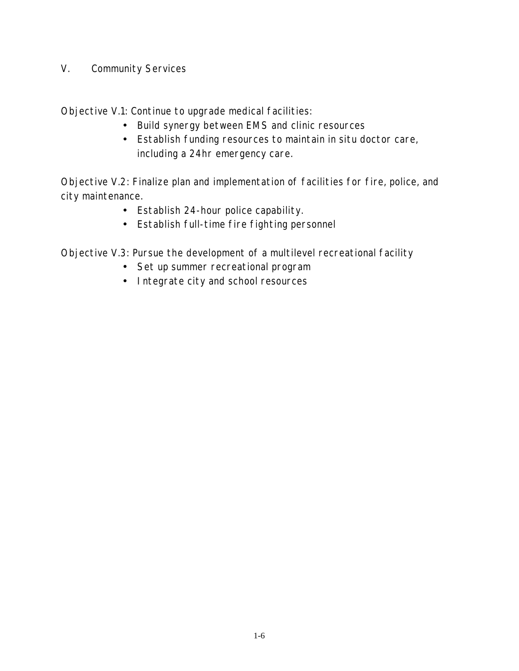#### V. Community Services

Objective V.1: Continue to upgrade medical facilities:

- Build synergy between EMS and clinic resources
- Establish funding resources to maintain in situ doctor care, including a 24hr emergency care.

Objective V.2: Finalize plan and implementation of facilities for fire, police, and city maintenance.

- Establish 24-hour police capability.
- Establish full-time fire fighting personnel

Objective V.3: Pursue the development of a multilevel recreational facility

- Set up summer recreational program
- Integrate city and school resources